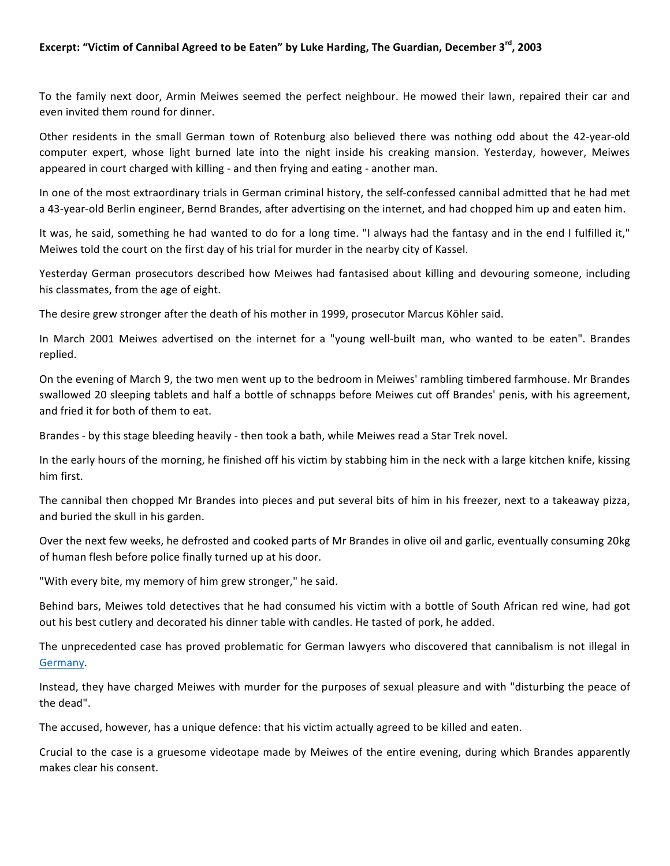## **Excerpt: "Victim of Cannibal Agreed to be Eaten" by Luke Harding, The Guardian, December 3<sup>rd</sup>, 2003**

To the family next door, Armin Meiwes seemed the perfect neighbour. He mowed their lawn, repaired their car and even invited them round for dinner.

Other residents in the small German town of Rotenburg also believed there was nothing odd about the 42-year-old computer expert, whose light burned late into the night inside his creaking mansion. Yesterday, however, Meiwes appeared in court charged with killing - and then frying and eating - another man.

In one of the most extraordinary trials in German criminal history, the self-confessed cannibal admitted that he had met a 43-year-old Berlin engineer, Bernd Brandes, after advertising on the internet, and had chopped him up and eaten him.

It was, he said, something he had wanted to do for a long time. "I always had the fantasy and in the end I fulfilled it," Meiwes told the court on the first day of his trial for murder in the nearby city of Kassel.

Yesterday German prosecutors described how Meiwes had fantasised about killing and devouring someone, including his classmates, from the age of eight.

The desire grew stronger after the death of his mother in 1999, prosecutor Marcus Köhler said.

In March 2001 Meiwes advertised on the internet for a "young well-built man, who wanted to be eaten". Brandes replied. 

On the evening of March 9, the two men went up to the bedroom in Meiwes' rambling timbered farmhouse. Mr Brandes swallowed 20 sleeping tablets and half a bottle of schnapps before Meiwes cut off Brandes' penis, with his agreement, and fried it for both of them to eat.

Brandes - by this stage bleeding heavily - then took a bath, while Meiwes read a Star Trek novel.

In the early hours of the morning, he finished off his victim by stabbing him in the neck with a large kitchen knife, kissing him first. 

The cannibal then chopped Mr Brandes into pieces and put several bits of him in his freezer, next to a takeaway pizza, and buried the skull in his garden.

Over the next few weeks, he defrosted and cooked parts of Mr Brandes in olive oil and garlic, eventually consuming 20kg of human flesh before police finally turned up at his door.

"With every bite, my memory of him grew stronger," he said.

Behind bars, Meiwes told detectives that he had consumed his victim with a bottle of South African red wine, had got out his best cutlery and decorated his dinner table with candles. He tasted of pork, he added.

The unprecedented case has proved problematic for German lawyers who discovered that cannibalism is not illegal in Germany.

Instead, they have charged Meiwes with murder for the purposes of sexual pleasure and with "disturbing the peace of the dead".

The accused, however, has a unique defence: that his victim actually agreed to be killed and eaten.

Crucial to the case is a gruesome videotape made by Meiwes of the entire evening, during which Brandes apparently makes clear his consent.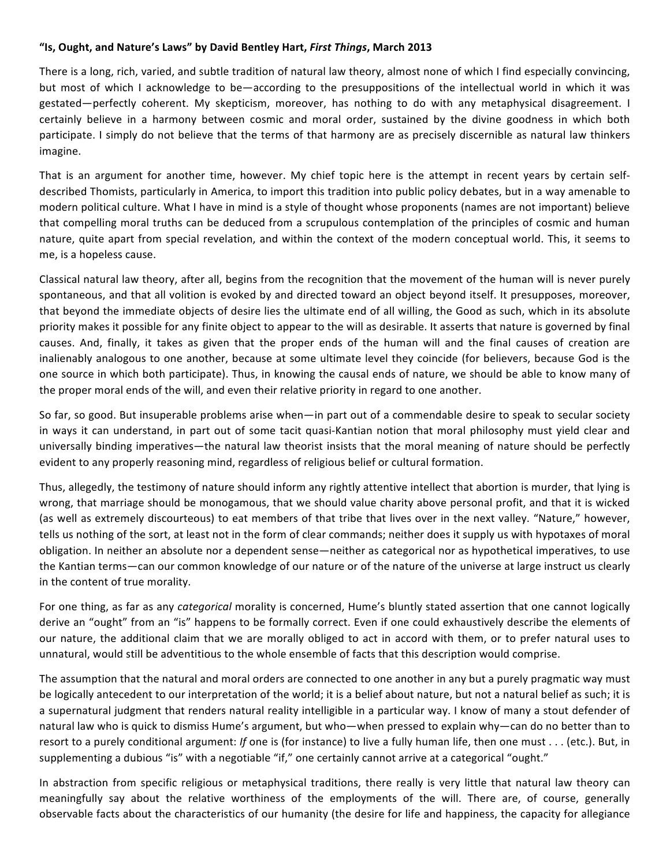## "Is, Ought, and Nature's Laws" by David Bentley Hart, *First Things*, March 2013

There is a long, rich, varied, and subtle tradition of natural law theory, almost none of which I find especially convincing, but most of which I acknowledge to be—according to the presuppositions of the intellectual world in which it was gestated—perfectly coherent. My skepticism, moreover, has nothing to do with any metaphysical disagreement. I certainly believe in a harmony between cosmic and moral order, sustained by the divine goodness in which both participate. I simply do not believe that the terms of that harmony are as precisely discernible as natural law thinkers imagine. 

That is an argument for another time, however. My chief topic here is the attempt in recent years by certain selfdescribed Thomists, particularly in America, to import this tradition into public policy debates, but in a way amenable to modern political culture. What I have in mind is a style of thought whose proponents (names are not important) believe that compelling moral truths can be deduced from a scrupulous contemplation of the principles of cosmic and human nature, quite apart from special revelation, and within the context of the modern conceptual world. This, it seems to me, is a hopeless cause.

Classical natural law theory, after all, begins from the recognition that the movement of the human will is never purely spontaneous, and that all volition is evoked by and directed toward an object beyond itself. It presupposes, moreover, that beyond the immediate objects of desire lies the ultimate end of all willing, the Good as such, which in its absolute priority makes it possible for any finite object to appear to the will as desirable. It asserts that nature is governed by final causes. And, finally, it takes as given that the proper ends of the human will and the final causes of creation are inalienably analogous to one another, because at some ultimate level they coincide (for believers, because God is the one source in which both participate). Thus, in knowing the causal ends of nature, we should be able to know many of the proper moral ends of the will, and even their relative priority in regard to one another.

So far, so good. But insuperable problems arise when—in part out of a commendable desire to speak to secular society in ways it can understand, in part out of some tacit quasi-Kantian notion that moral philosophy must yield clear and universally binding imperatives—the natural law theorist insists that the moral meaning of nature should be perfectly evident to any properly reasoning mind, regardless of religious belief or cultural formation.

Thus, allegedly, the testimony of nature should inform any rightly attentive intellect that abortion is murder, that lying is wrong, that marriage should be monogamous, that we should value charity above personal profit, and that it is wicked (as well as extremely discourteous) to eat members of that tribe that lives over in the next valley. "Nature," however, tells us nothing of the sort, at least not in the form of clear commands; neither does it supply us with hypotaxes of moral obligation. In neither an absolute nor a dependent sense—neither as categorical nor as hypothetical imperatives, to use the Kantian terms—can our common knowledge of our nature or of the nature of the universe at large instruct us clearly in the content of true morality.

For one thing, as far as any *categorical* morality is concerned, Hume's bluntly stated assertion that one cannot logically derive an "ought" from an "is" happens to be formally correct. Even if one could exhaustively describe the elements of our nature, the additional claim that we are morally obliged to act in accord with them, or to prefer natural uses to unnatural, would still be adventitious to the whole ensemble of facts that this description would comprise.

The assumption that the natural and moral orders are connected to one another in any but a purely pragmatic way must be logically antecedent to our interpretation of the world; it is a belief about nature, but not a natural belief as such; it is a supernatural judgment that renders natural reality intelligible in a particular way. I know of many a stout defender of natural law who is quick to dismiss Hume's argument, but who—when pressed to explain why—can do no better than to resort to a purely conditional argument: If one is (for instance) to live a fully human life, then one must . . . (etc.). But, in supplementing a dubious "is" with a negotiable "if," one certainly cannot arrive at a categorical "ought."

In abstraction from specific religious or metaphysical traditions, there really is very little that natural law theory can meaningfully say about the relative worthiness of the employments of the will. There are, of course, generally observable facts about the characteristics of our humanity (the desire for life and happiness, the capacity for allegiance